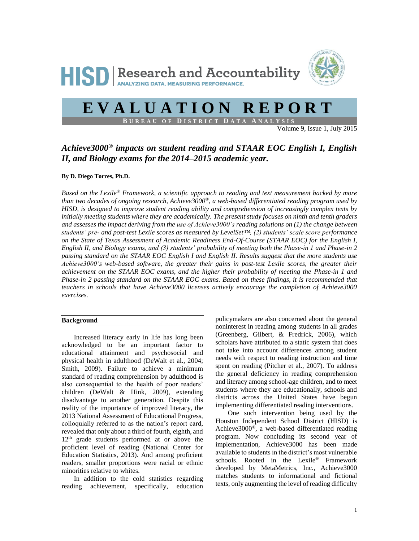



# **E V A L U A T I O N R E P O R T**

**B U R E A U O F D I S T R I C T D A T A A N A L Y S I S**

Volume 9, Issue 1, July 2015

# *Achieve3000® impacts on student reading and STAAR EOC English I, English II, and Biology exams for the 2014–2015 academic year.*

# **By D. Diego Torres, Ph.D.**

*Based on the Lexile® Framework, a scientific approach to reading and text measurement backed by more than two decades of ongoing research, Achieve3000®, a web-based differentiated reading program used by HISD, is designed to improve student reading ability and comprehension of increasingly complex texts by initially meeting students where they are academically. The present study focuses on ninth and tenth graders and assesses the impact deriving from the use of Achieve3000's reading solutions on (1) the change between students' pre- and post-test Lexile scores as measured by LevelSet™, (2) students' scale score performance on the State of Texas Assessment of Academic Readiness End-Of-Course (STAAR EOC) for the English I, English II, and Biology exams, and (3) students' probability of meeting both the Phase-in 1 and Phase-in 2 passing standard on the STAAR EOC English I and English II. Results suggest that the more students use Achieve3000's web-based software, the greater their gains in post-test Lexile scores, the greater their achievement on the STAAR EOC exams, and the higher their probability of meeting the Phase-in 1 and Phase-in 2 passing standard on the STAAR EOC exams. Based on these findings, it is recommended that teachers in schools that have Achieve3000 licenses actively encourage the completion of Achieve3000 exercises.*

# **Background**

Increased literacy early in life has long been acknowledged to be an important factor to educational attainment and psychosocial and physical health in adulthood (DeWalt et al., 2004; Smith, 2009). Failure to achieve a minimum standard of reading comprehension by adulthood is also consequential to the health of poor readers' children (DeWalt & Hink, 2009), extending disadvantage to another generation. Despite this reality of the importance of improved literacy, the 2013 National Assessment of Educational Progress, colloquially referred to as the nation's report card, revealed that only about a third of fourth, eighth, and 12th grade students performed at or above the proficient level of reading (National Center for Education Statistics, 2013). And among proficient readers, smaller proportions were racial or ethnic minorities relative to whites.

In addition to the cold statistics regarding reading achievement, specifically, education policymakers are also concerned about the general noninterest in reading among students in all grades (Greenberg, Gilbert, & Fredrick, 2006), which scholars have attributed to a static system that does not take into account differences among student needs with respect to reading instruction and time spent on reading (Pitcher et al., 2007). To address the general deficiency in reading comprehension and literacy among school-age children, and to meet students where they are educationally, schools and districts across the United States have begun implementing differentiated reading interventions.

One such intervention being used by the Houston Independent School District (HISD) is Achieve3000®, a web-based differentiated reading program. Now concluding its second year of implementation, Achieve3000 has been made available to students in the district's most vulnerable schools. Rooted in the Lexile® Framework developed by MetaMetrics, Inc., Achieve3000 matches students to informational and fictional texts, only augmenting the level of reading difficulty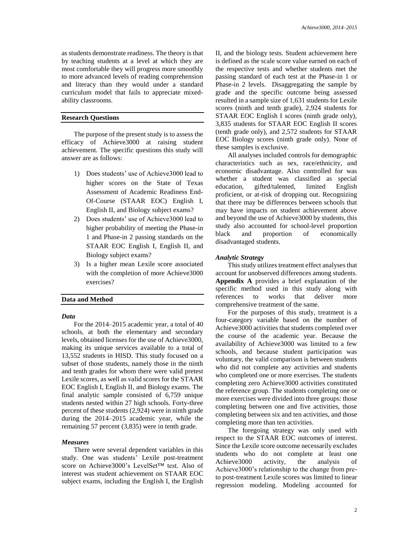as students demonstrate readiness. The theory is that by teaching students at a level at which they are most comfortable they will progress more smoothly to more advanced levels of reading comprehension and literacy than they would under a standard curriculum model that fails to appreciate mixedability classrooms.

# **Research Questions**

The purpose of the present study is to assess the efficacy of Achieve3000 at raising student achievement. The specific questions this study will answer are as follows:

- 1) Does students' use of Achieve3000 lead to higher scores on the State of Texas Assessment of Academic Readiness End-Of-Course (STAAR EOC) English I, English II, and Biology subject exams?
- 2) Does students' use of Achieve3000 lead to higher probability of meeting the Phase-in 1 and Phase-in 2 passing standards on the STAAR EOC English I, English II, and Biology subject exams?
- 3) Is a higher mean Lexile score associated with the completion of more Achieve3000 exercises?

# **Data and Method**

# *Data*

For the 2014–2015 academic year, a total of 40 schools, at both the elementary and secondary levels, obtained licenses for the use of Achieve3000, making its unique services available to a total of 13,552 students in HISD. This study focused on a subset of those students, namely those in the ninth and tenth grades for whom there were valid pretest Lexile scores, as well as valid scores for the STAAR EOC English I, English II, and Biology exams. The final analytic sample consisted of 6,759 unique students nested within 27 high schools. Forty-three percent of these students (2,924) were in ninth grade during the 2014–2015 academic year, while the remaining 57 percent (3,835) were in tenth grade.

# *Measures*

There were several dependent variables in this study. One was students' Lexile post-treatment score on Achieve3000's LevelSet™ test. Also of interest was student achievement on STAAR EOC subject exams, including the English I, the English

II, and the biology tests. Student achievement here is defined as the scale score value earned on each of the respective tests and whether students met the passing standard of each test at the Phase-in 1 or Phase-in 2 levels. Disaggregating the sample by grade and the specific outcome being assessed resulted in a sample size of 1,631 students for Lexile scores (ninth and tenth grade), 2,924 students for STAAR EOC English I scores (ninth grade only), 3,835 students for STAAR EOC English II scores (tenth grade only), and 2,572 students for STAAR EOC Biology scores (ninth grade only). None of these samples is exclusive.

All analyses included controls for demographic characteristics such as sex, race/ethnicity, and economic disadvantage. Also controlled for was whether a student was classified as special education, gifted/talented, limited English proficient, or at-risk of dropping out. Recognizing that there may be differences between schools that may have impacts on student achievement above and beyond the use of Achieve3000 by students, this study also accounted for school-level proportion black and proportion of economically disadvantaged students.

# *Analytic Strategy*

This study utilizes treatment effect analyses that account for unobserved differences among students. **Appendix A** provides a brief explanation of the specific method used in this study along with references to works that deliver more comprehensive treatment of the same.

For the purposes of this study, treatment is a four-category variable based on the number of Achieve3000 activities that students completed over the course of the academic year. Because the availability of Achieve3000 was limited to a few schools, and because student participation was voluntary, the valid comparison is between students who did not complete any activities and students who completed one or more exercises. The students completing zero Achieve3000 activities constituted the reference group. The students completing one or more exercises were divided into three groups: those completing between one and five activities, those completing between six and ten activities, and those completing more than ten activities.

The foregoing strategy was only used with respect to the STAAR EOC outcomes of interest. Since the Lexile score outcome necessarily excludes students who do not complete at least one Achieve3000 activity, the analysis of Achieve3000's relationship to the change from preto post-treatment Lexile scores was limited to linear regression modeling. Modeling accounted for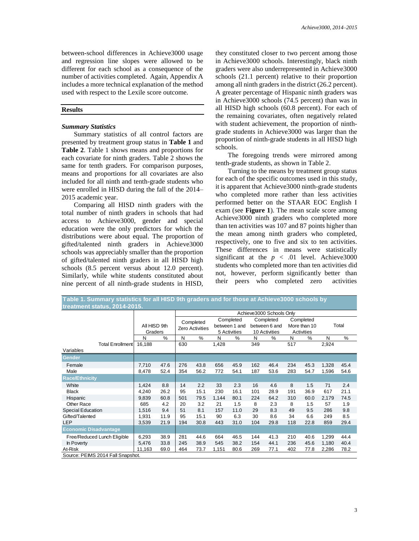between-school differences in Achieve3000 usage and regression line slopes were allowed to be different for each school as a consequence of the number of activities completed. Again, Appendix A includes a more technical explanation of the method used with respect to the Lexile score outcome.

#### **Results**

# *Summary Statistics*

Summary statistics of all control factors are presented by treatment group status in **Table 1** and **Table 2**. Table 1 shows means and proportions for each covariate for ninth graders. Table 2 shows the same for tenth graders. For comparison purposes, means and proportions for all covariates are also included for all ninth and tenth-grade students who were enrolled in HISD during the fall of the 2014– 2015 academic year.

Comparing all HISD ninth graders with the total number of ninth graders in schools that had access to Achieve3000, gender and special education were the only predictors for which the distributions were about equal. The proportion of gifted/talented ninth graders in Achieve3000 schools was appreciably smaller than the proportion of gifted/talented ninth graders in all HISD high schools (8.5 percent versus about 12.0 percent). Similarly, while white students constituted about nine percent of all ninth-grade students in HISD,

they constituted closer to two percent among those in Achieve3000 schools. Interestingly, black ninth graders were also underrepresented in Achieve3000 schools (21.1 percent) relative to their proportion among all ninth graders in the district (26.2 percent). A greater percentage of Hispanic ninth graders was in Achieve3000 schools (74.5 percent) than was in all HISD high schools (60.8 percent). For each of the remaining covariates, often negatively related with student achievement, the proportion of ninthgrade students in Achieve3000 was larger than the proportion of ninth-grade students in all HISD high schools.

The foregoing trends were mirrored among tenth-grade students, as shown in Table 2.

Turning to the means by treatment group status for each of the specific outcomes used in this study, it is apparent that Achieve3000 ninth-grade students who completed more rather than less activities performed better on the STAAR EOC English I exam (see **Figure 1**). The mean scale score among Achieve3000 ninth graders who completed more than ten activities was 107 and 87 points higher than the mean among ninth graders who completed, respectively, one to five and six to ten activities. These differences in means were statistically significant at the  $p < .01$  level. Achieve3000 students who completed more than ten activities did not, however, perform significantly better than their peers who completed zero activities

| . .<br>treatment status, 2014-2015. |                         |      |                          |                              |       |                                            |     |                                             |     |                                         |       |       |
|-------------------------------------|-------------------------|------|--------------------------|------------------------------|-------|--------------------------------------------|-----|---------------------------------------------|-----|-----------------------------------------|-------|-------|
|                                     |                         |      | Achieve3000 Schools Only |                              |       |                                            |     |                                             |     |                                         |       |       |
|                                     | All HISD 9th<br>Graders |      |                          | Completed<br>Zero Activities |       | Completed<br>between 1 and<br>5 Activities |     | Completed<br>between 6 and<br>10 Activities |     | Completed<br>More than 10<br>Activities |       | Total |
|                                     | N                       | $\%$ | N                        | $\%$                         | N     | $\%$                                       | N   | $\frac{0}{0}$                               | N   | $\%$                                    | N     | %     |
| <b>Total Enrollment</b>             | 16,188                  |      | 630                      |                              | 1,428 |                                            | 349 |                                             | 517 |                                         | 2,924 |       |
| Variables                           |                         |      |                          |                              |       |                                            |     |                                             |     |                                         |       |       |
| Gender                              |                         |      |                          |                              |       |                                            |     |                                             |     |                                         |       |       |
| Female                              | 7,710                   | 47.6 | 276                      | 43.8                         | 656   | 45.9                                       | 162 | 46.4                                        | 234 | 45.3                                    | 1,328 | 45.4  |
| Male                                | 8,478                   | 52.4 | 354                      | 56.2                         | 772   | 54.1                                       | 187 | 53.6                                        | 283 | 54.7                                    | 1,596 | 54.6  |
| <b>Race/Ethnicity</b>               |                         |      |                          |                              |       |                                            |     |                                             |     |                                         |       |       |
| White                               | 1,424                   | 8.8  | 14                       | 2.2                          | 33    | 2.3                                        | 16  | 4.6                                         | 8   | 1.5                                     | 71    | 2.4   |
| <b>Black</b>                        | 4,240                   | 26.2 | 95                       | 15.1                         | 230   | 16.1                                       | 101 | 28.9                                        | 191 | 36.9                                    | 617   | 21.1  |
| Hispanic                            | 9,839                   | 60.8 | 501                      | 79.5                         | 1,144 | 80.1                                       | 224 | 64.2                                        | 310 | 60.0                                    | 2,179 | 74.5  |
| Other Race                          | 685                     | 4.2  | 20                       | 3.2                          | 21    | 1.5                                        | 8   | 2.3                                         | 8   | 1.5                                     | 57    | 1.9   |
| <b>Special Education</b>            | 1,516                   | 9.4  | 51                       | 8.1                          | 157   | 11.0                                       | 29  | 8.3                                         | 49  | 9.5                                     | 286   | 9.8   |
| Gifted/Talented                     | 1,931                   | 11.9 | 95                       | 15.1                         | 90    | 6.3                                        | 30  | 8.6                                         | 34  | 6.6                                     | 249   | 8.5   |
| <b>LEP</b>                          | 3,539                   | 21.9 | 194                      | 30.8                         | 443   | 31.0                                       | 104 | 29.8                                        | 118 | 22.8                                    | 859   | 29.4  |
| <b>Economic Disadvantage</b>        |                         |      |                          |                              |       |                                            |     |                                             |     |                                         |       |       |
| Free/Reduced Lunch Eligible         | 6,293                   | 38.9 | 281                      | 44.6                         | 664   | 46.5                                       | 144 | 41.3                                        | 210 | 40.6                                    | 1,299 | 44.4  |
| In Poverty                          | 5,476                   | 33.8 | 245                      | 38.9                         | 545   | 38.2                                       | 154 | 44.1                                        | 236 | 45.6                                    | 1,180 | 40.4  |
| At-Risk                             | 11.163                  | 69.0 | 464                      | 73.7                         | 1,151 | 80.6                                       | 269 | 77.1                                        | 402 | 77.8                                    | 2,286 | 78.2  |
| Source: PEIMS 2014 Fall Snapshot.   |                         |      |                          |                              |       |                                            |     |                                             |     |                                         |       |       |

**Table 1. Summary statistics for all HISD 9th graders and for those at Achieve3000 schools by**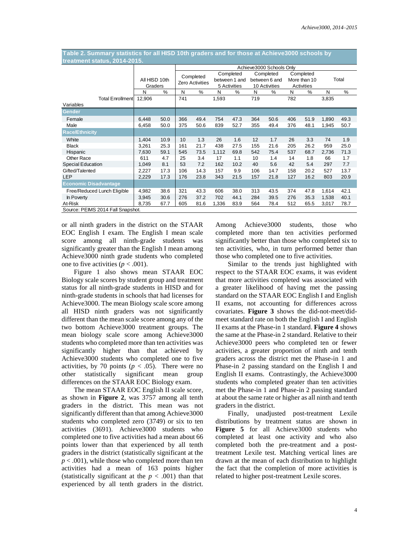| treatment status, 2014-2015.      |               |      |     |                          |       |               |     |               |     |               |       |               |
|-----------------------------------|---------------|------|-----|--------------------------|-------|---------------|-----|---------------|-----|---------------|-------|---------------|
|                                   |               |      |     | Achieve3000 Schools Only |       |               |     |               |     |               |       |               |
|                                   |               |      |     | Completed                |       | Completed     |     | Completed     |     | Completed     |       |               |
|                                   | All HISD 10th |      |     | Zero Activities          |       | between 1 and |     | between 6 and |     | More than 10  |       | Total         |
|                                   | Graders       |      |     |                          |       | 5 Activities  |     | 10 Activities |     | Activities    |       |               |
|                                   | N             | $\%$ | N   | %                        | N     | %             | N   | $\frac{0}{0}$ | N   | $\frac{0}{0}$ | N     | $\frac{0}{0}$ |
| <b>Total Enrollment</b>           | 12,906        |      | 741 |                          | 1,593 |               | 719 |               | 782 |               | 3,835 |               |
| Variables                         |               |      |     |                          |       |               |     |               |     |               |       |               |
| Gender                            |               |      |     |                          |       |               |     |               |     |               |       |               |
| Female                            | 6,448         | 50.0 | 366 | 49.4                     | 754   | 47.3          | 364 | 50.6          | 406 | 51.9          | 1,890 | 49.3          |
| Male                              | 6,458         | 50.0 | 375 | 50.6                     | 839   | 52.7          | 355 | 49.4          | 376 | 48.1          | 1,945 | 50.7          |
| <b>Race/Ethnicity</b>             |               |      |     |                          |       |               |     |               |     |               |       |               |
| White                             | 1,404         | 10.9 | 10  | 1.3                      | 26    | 1.6           | 12  | 1.7           | 26  | 3.3           | 74    | 1.9           |
| <b>Black</b>                      | 3,261         | 25.3 | 161 | 21.7                     | 438   | 27.5          | 155 | 21.6          | 205 | 26.2          | 959   | 25.0          |
| Hispanic                          | 7,630         | 59.1 | 545 | 73.5                     | 1,112 | 69.8          | 542 | 75.4          | 537 | 68.7          | 2,736 | 71.3          |
| Other Race                        | 611           | 4.7  | 25  | 3.4                      | 17    | 1.1           | 10  | 1.4           | 14  | 1.8           | 66    | 1.7           |
| Special Education                 | 1,049         | 8.1  | 53  | 7.2                      | 162   | 10.2          | 40  | 5.6           | 42  | 5.4           | 297   | 7.7           |
| Gifted/Talented                   | 2,227         | 17.3 | 106 | 14.3                     | 157   | 9.9           | 106 | 14.7          | 158 | 20.2          | 527   | 13.7          |
| <b>LEP</b>                        | 2,229         | 17.3 | 176 | 23.8                     | 343   | 21.5          | 157 | 21.8          | 127 | 16.2          | 803   | 20.9          |
| <b>Economic Disadvantage</b>      |               |      |     |                          |       |               |     |               |     |               |       |               |
| Free/Reduced Lunch Eligible       | 4,982         | 38.6 | 321 | 43.3                     | 606   | 38.0          | 313 | 43.5          | 374 | 47.8          | 1,614 | 42.1          |
| In Poverty                        | 3,945         | 30.6 | 276 | 37.2                     | 702   | 44.1          | 284 | 39.5          | 276 | 35.3          | 1,538 | 40.1          |
| At-Risk                           | 8,735         | 67.7 | 605 | 81.6                     | 1,336 | 83.9          | 564 | 78.4          | 512 | 65.5          | 3,017 | 78.7          |
| Source: PEIMS 2014 Fall Snapshot. |               |      |     |                          |       |               |     |               |     |               |       |               |

**Table 2. Summary statistics for all HISD 10th graders and for those at Achieve3000 schools by** 

or all ninth graders in the district on the STAAR EOC English I exam. The English I mean scale score among all ninth-grade students was significantly greater than the English I mean among Achieve3000 ninth grade students who completed one to five activities  $(p < .001)$ .

Figure 1 also shows mean STAAR EOC Biology scale scores by student group and treatment status for all ninth-grade students in HISD and for ninth-grade students in schools that had licenses for Achieve3000. The mean Biology scale score among all HISD ninth graders was not significantly different than the mean scale score among any of the two bottom Achieve3000 treatment groups. The mean biology scale score among Achieve3000 students who completed more than ten activities was significantly higher than that achieved by Achieve3000 students who completed one to five activities, by 70 points ( $p < .05$ ). There were no other statistically significant mean group differences on the STAAR EOC Biology exam.

The mean STAAR EOC English II scale score, as shown in **Figure 2**, was 3757 among all tenth graders in the district. This mean was not significantly different than that among Achieve3000 students who completed zero (3749) or six to ten activities (3691). Achieve3000 students who completed one to five activities had a mean about 66 points lower than that experienced by all tenth graders in the district (statistically significant at the  $p < .001$ ), while those who completed more than ten activities had a mean of 163 points higher (statistically significant at the  $p < .001$ ) than that experienced by all tenth graders in the district.

Among Achieve3000 students, those who completed more than ten activities performed significantly better than those who completed six to ten activities, who, in turn performed better than those who completed one to five activities.

Similar to the trends just highlighted with respect to the STAAR EOC exams, it was evident that more activities completed was associated with a greater likelihood of having met the passing standard on the STAAR EOC English I and English II exams, not accounting for differences across covariates. **Figure 3** shows the did-not-meet/didmeet standard rate on both the English I and English II exams at the Phase-in 1 standard. **Figure 4** shows the same at the Phase-in 2 standard. Relative to their Achieve3000 peers who completed ten or fewer activities, a greater proportion of ninth and tenth graders across the district met the Phase-in 1 and Phase-in 2 passing standard on the English I and English II exams. Contrastingly, the Achieve3000 students who completed greater than ten activities met the Phase-in 1 and Phase-in 2 passing standard at about the same rate or higher as all ninth and tenth graders in the district.

Finally, unadjusted post-treatment Lexile distributions by treatment status are shown in **Figure 5** for all Achieve3000 students who completed at least one activity and who also completed both the pre-treatment and a posttreatment Lexile test. Matching vertical lines are drawn at the mean of each distribution to highlight the fact that the completion of more activities is related to higher post-treatment Lexile scores.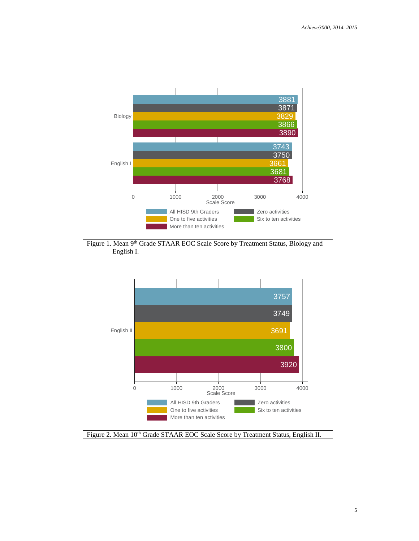

Figure 1. Mean 9th Grade STAAR EOC Scale Score by Treatment Status, Biology and English I.



Figure 2. Mean 10<sup>th</sup> Grade STAAR EOC Scale Score by Treatment Status, English II.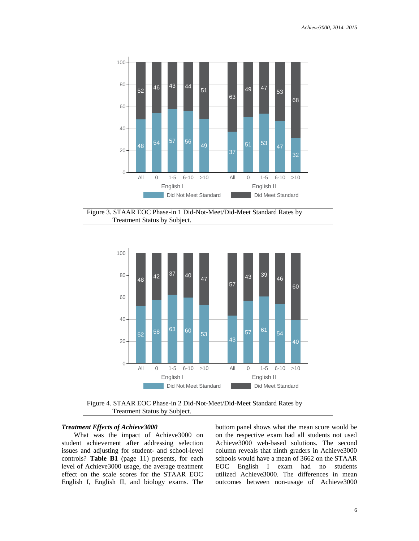

Figure 3. STAAR EOC Phase-in 1 Did-Not-Meet/Did-Meet Standard Rates by Treatment Status by Subject.



Figure 4. STAAR EOC Phase-in 2 Did-Not-Meet/Did-Meet Standard Rates by Treatment Status by Subject.

#### *Treatment Effects of Achieve3000*

What was the impact of Achieve3000 on student achievement after addressing selection issues and adjusting for student- and school-level controls? **Table B1** (page 11) presents, for each level of Achieve3000 usage, the average treatment effect on the scale scores for the STAAR EOC English I, English II, and biology exams. The bottom panel shows what the mean score would be on the respective exam had all students not used Achieve3000 web-based solutions. The second column reveals that ninth graders in Achieve3000 schools would have a mean of 3662 on the STAAR EOC English I exam had no students utilized Achieve3000. The differences in mean outcomes between non-usage of Achieve3000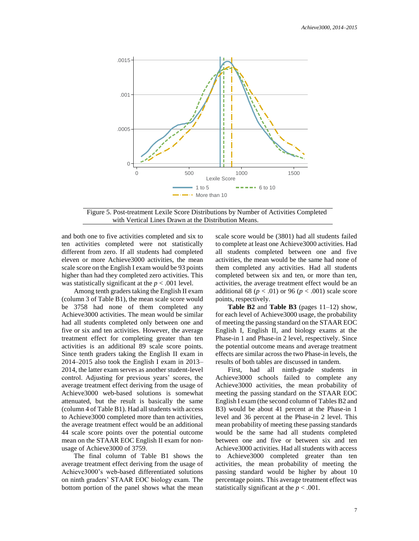

Figure 5. Post-treatment Lexile Score Distributions by Number of Activities Completed with Vertical Lines Drawn at the Distribution Means.

and both one to five activities completed and six to ten activities completed were not statistically different from zero. If all students had completed eleven or more Achieve3000 activities, the mean scale score on the English I exam would be 93 points higher than had they completed zero activities. This was statistically significant at the  $p < .001$  level.

Among tenth graders taking the English II exam (column 3 of Table B1), the mean scale score would be 3758 had none of them completed any Achieve3000 activities. The mean would be similar had all students completed only between one and five or six and ten activities. However, the average treatment effect for completing greater than ten activities is an additional 89 scale score points. Since tenth graders taking the English II exam in 2014–2015 also took the English I exam in 2013– 2014, the latter exam serves as another student-level control. Adjusting for previous years' scores, the average treatment effect deriving from the usage of Achieve3000 web-based solutions is somewhat attenuated, but the result is basically the same (column 4 of Table B1). Had all students with access to Achieve3000 completed more than ten activities, the average treatment effect would be an additional 44 scale score points over the potential outcome mean on the STAAR EOC English II exam for nonusage of Achieve3000 of 3759.

The final column of Table B1 shows the average treatment effect deriving from the usage of Achieve3000's web-based differentiated solutions on ninth graders' STAAR EOC biology exam. The bottom portion of the panel shows what the mean scale score would be (3801) had all students failed to complete at least one Achieve3000 activities. Had all students completed between one and five activities, the mean would be the same had none of them completed any activities. Had all students completed between six and ten, or more than ten, activities, the average treatment effect would be an additional 68 ( $p < .01$ ) or 96 ( $p < .001$ ) scale score points, respectively.

**Table B2** and **Table B3** (pages 11–12) show, for each level of Achieve3000 usage, the probability of meeting the passing standard on the STAAR EOC English I, English II, and biology exams at the Phase-in 1 and Phase-in 2 level, respectively. Since the potential outcome means and average treatment effects are similar across the two Phase-in levels, the results of both tables are discussed in tandem.

First, had all ninth-grade students in Achieve3000 schools failed to complete any Achieve3000 activities, the mean probability of meeting the passing standard on the STAAR EOC English I exam (the second column of Tables B2 and B3) would be about 41 percent at the Phase-in 1 level and 36 percent at the Phase-in 2 level. This mean probability of meeting these passing standards would be the same had all students completed between one and five or between six and ten Achieve3000 activities. Had all students with access to Achieve3000 completed greater than ten activities, the mean probability of meeting the passing standard would be higher by about 10 percentage points. This average treatment effect was statistically significant at the  $p < .001$ .

7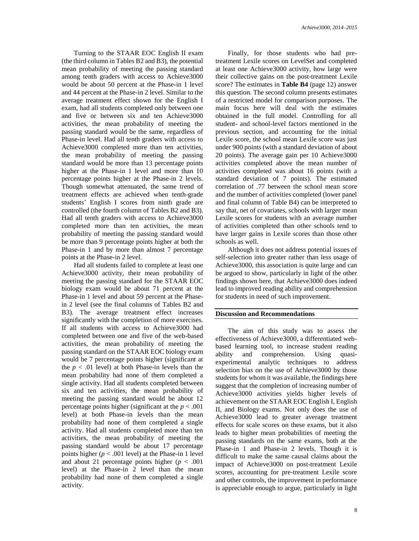Turning to the STAAR EOC English II exam (the third column in Tables B2 and B3), the potential mean probability of meeting the passing standard among tenth graders with access to Achieve3000 would be about 50 percent at the Phase-in 1 level and 44 percent at the Phase-in 2 level. Similar to the average treatment effect shown for the English I exam, had all students completed only between one and five or between six and ten Achieve3000 activities, the mean probability of meeting the passing standard would be the same, regardless of Phase-in level. Had all tenth graders with access to Achieve3000 completed more than ten activities, the mean probability of meeting the passing standard would be more than 13 percentage points higher at the Phase-in 1 level and more than 10 percentage points higher at the Phase-in 2 levels. Though somewhat attenuated, the same trend of treatment effects are achieved when tenth-grade students' English I scores from ninth grade are controlled (the fourth column of Tables B2 and B3). Had all tenth graders with access to Achieve3000 completed more than ten activities, the mean probability of meeting the passing standard would be more than 9 percentage points higher at both the Phase-in 1 and by more than almost 7 percentage points at the Phase-in 2 level.

Had all students failed to complete at least one Achieve3000 activity, their mean probability of meeting the passing standard for the STAAR EOC biology exam would be about 71 percent at the Phase-in 1 level and about 59 percent at the Phasein 2 level (see the final columns of Tables B2 and B3). The average treatment effect increases significantly with the completion of more exercises. If all students with access to Achieve3000 had completed between one and five of the web-based activities, the mean probability of meeting the passing standard on the STAAR EOC biology exam would be 7 percentage points higher (significant at the  $p < .01$  level) at both Phase-in levels than the mean probability had none of them completed a single activity. Had all students completed between six and ten activities, the mean probability of meeting the passing standard would be about 12 percentage points higher (significant at the  $p < .001$ ) level) at both Phase-in levels than the mean probability had none of them completed a single activity. Had all students completed more than ten activities, the mean probability of meeting the passing standard would be about 17 percentage points higher  $(p < .001$  level) at the Phase-in 1 level and about 21 percentage points higher  $(p < .001$ level) at the Phase-in 2 level than the mean probability had none of them completed a single activity.

Finally, for those students who had pretreatment Lexile scores on LevelSet and completed at least one Achieve3000 activity, how large were their collective gains on the post-treatment Lexile score? The estimates in **Table B4** (page 12) answer this question. The second column presents estimates of a restricted model for comparison purposes. The main focus here will deal with the estimates obtained in the full model. Controlling for all student- and school-level factors mentioned in the previous section, and accounting for the initial Lexile score, the school mean Lexile score was just under 900 points (with a standard deviation of about 20 points). The average gain per 10 Achieve3000 activities completed above the mean number of activities completed was about 16 points (with a standard deviation of 7 points). The estimated correlation of .77 between the school mean score and the number of activities completed (lower panel and final column of Table B4) can be interpreted to say that, net of covariates, schools with larger mean Lexile scores for students with an average number of activities completed than other schools tend to have larger gains in Lexile scores than those other schools as well.

Although it does not address potential issues of self-selection into greater rather than less usage of Achieve3000, this association is quite large and can be argued to show, particularly in light of the other findings shown here, that Achieve3000 does indeed lead to improved reading ability and comprehension for students in need of such improvement.

#### **Discussion and Recommendations**

The aim of this study was to assess the effectiveness of Achieve3000, a differentiated webbased learning tool, to increase student reading ability and comprehension. Using quasiexperimental analytic techniques to address selection bias on the use of Achieve3000 by those students for whom it was available, the findings here suggest that the completion of increasing number of Achieve3000 activities yields higher levels of achievement on the STAAR EOC English I, English II, and Biology exams. Not only does the use of Achieve3000 lead to greater average treatment effects for scale scores on these exams, but it also leads to higher mean probabilities of meeting the passing standards on the same exams, both at the Phase-in 1 and Phase-in 2 levels. Though it is difficult to make the same causal claims about the impact of Achieve3000 on post-treatment Lexile scores, accounting for pre-treatment Lexile score and other controls, the improvement in performance is appreciable enough to argue, particularly in light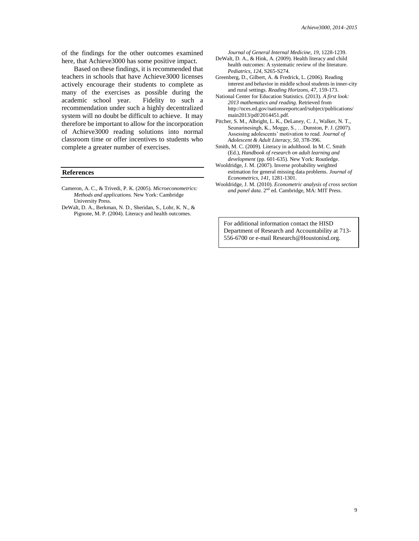of the findings for the other outcomes examined here, that Achieve3000 has some positive impact.

Based on these findings, it is recommended that teachers in schools that have Achieve3000 licenses actively encourage their students to complete as many of the exercises as possible during the academic school year. Fidelity to such a recommendation under such a highly decentralized system will no doubt be difficult to achieve. It may therefore be important to allow for the incorporation of Achieve3000 reading solutions into normal classroom time or offer incentives to students who complete a greater number of exercises.

#### **References**

- Cameron, A. C., & Trivedi, P. K. (2005). *Microeconometrics: Methods and applications.* New York: Cambridge University Press.
- DeWalt, D. A., Berkman, N. D., Sheridan, S., Lohr, K. N., & Pignone, M. P. (2004). Literacy and health outcomes.

*Journal of General Internal Medicine*, *19*, 1228-1239.

- DeWalt, D. A., & Hink, A. (2009). Health literacy and child health outcomes: A systematic review of the literature. *Pediatrics*, *124*, S265-S274.
- Greenberg, D., Gilbert, A. & Fredrick, L. (2006). Reading interest and behavior in middle school students in inner-city and rural settings. *Reading Horizons*, *47*, 159-173.
- National Center for Education Statistics. (2013). *A first look: 2013 mathematics and reading*. Retrieved from http://nces.ed.gov/nationsreportcard/subject/publications/ main2013/pdf/2014451.pdf.
- Pitcher, S. M., Albright, L. K., DeLaney, C. J., Walker, N. T., Seunarinesingh, K., Mogge, S., …Dunston, P. J. (2007). Assessing adolescents' motivation to read. *Journal of Adolescent & Adult Literacy*, *50*, 378-396.
- Smith, M. C. (2009). Literacy in adulthood. In M. C. Smith (Ed.), *Handbook of research on adult learning and development* (pp. 601-635). New York: Routledge.
- Wooldridge, J. M. (2007). Inverse probability weighted estimation for general missing data problems. *Journal of Econometrics*, *141*, 1281-1301.
- Wooldridge, J. M. (2010). *Econometric analysis of cross section*  and panel data. 2<sup>nd</sup> ed. Cambridge, MA: MIT Press.

For additional information contact the HISD Department of Research and Accountability at 713- 556-6700 or e-mail Research@Houstonisd.org.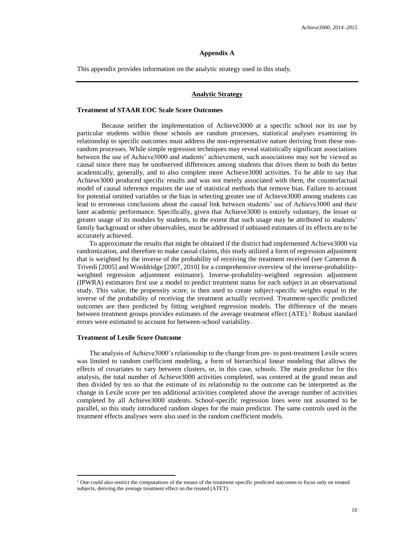#### **Appendix A**

This appendix provides information on the analytic strategy used in this study.

# **Analytic Strategy**

#### **Treatment of STAAR EOC Scale Score Outcomes**

Because neither the implementation of Achieve3000 at a specific school nor its use by particular students within those schools are random processes, statistical analyses examining its relationship to specific outcomes must address the non-representative nature deriving from these nonrandom processes. While simple regression techniques may reveal statistically significant associations between the use of Achieve3000 and students' achievement, such associations may not be viewed as causal since there may be unobserved differences among students that drives them to both do better academically, generally, and to also complete more Achieve3000 activities. To be able to say that Achieve3000 produced specific results and was not merely associated with them, the counterfactual model of causal inference requires the use of statistical methods that remove bias. Failure to account for potential omitted variables or the bias in selecting greater use of Achieve3000 among students can lead to erroneous conclusions about the causal link between students' use of Achieve3000 and their later academic performance. Specifically, given that Achieve3000 is entirely voluntary, the lesser or greater usage of its modules by students, to the extent that such usage may be attributed to students' family background or other observables, must be addressed if unbiased estimates of its effects are to be accurately achieved.

To approximate the results that might be obtained if the district had implemented Achieve3000 via randomization, and therefore to make causal claims, this study utilized a form of regression adjustment that is weighted by the inverse of the probability of receiving the treatment received (see Cameron & Trivedi [2005] and Wooldridge [2007, 2010] for a comprehensive overview of the inverse-probabilityweighted regression adjustment estimator). Inverse-probability-weighted regression adjustment (IPWRA) estimators first use a model to predict treatment status for each subject in an observational study. This value, the propensity score, is then used to create subject-specific weights equal to the inverse of the probability of receiving the treatment actually received. Treatment-specific predicted outcomes are then predicted by fitting weighted regression models. The difference of the means between treatment groups provides estimates of the average treatment effect  $(ATE)$ .<sup>1</sup> Robust standard errors were estimated to account for between-school variability.

# **Treatment of Lexile Score Outcome**

 $\overline{a}$ 

The analysis of Achieve3000's relationship to the change from pre- to post-treatment Lexile scores was limited to random coefficient modeling, a form of hierarchical linear modeling that allows the effects of covariates to vary between clusters, or, in this case, schools. The main predictor for this analysis, the total number of Achieve3000 activities completed, was centered at the grand mean and then divided by ten so that the estimate of its relationship to the outcome can be interpreted as the change in Lexile score per ten additional activities completed above the average number of activities completed by all Achieve3000 students. School-specific regression lines were not assumed to be parallel, so this study introduced random slopes for the main predictor. The same controls used in the treatment effects analyses were also used in the random coefficient models.

 $<sup>1</sup>$  One could also restrict the computations of the means of the treatment-specific predicted outcomes to focus only on treated</sup> subjects, deriving the average treatment effect on the treated (ATET).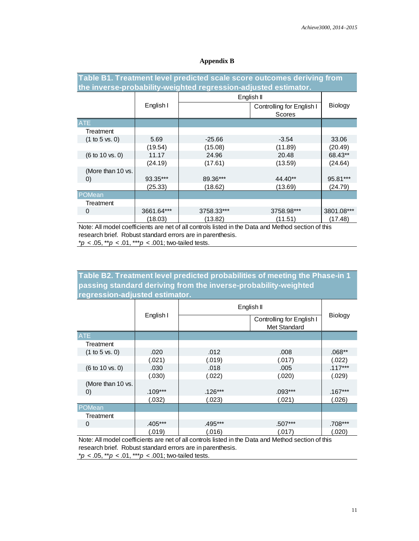# **Appendix B**

| Table B1. Treatment level predicted scale score outcomes deriving from |            |            |                           |                |  |  |
|------------------------------------------------------------------------|------------|------------|---------------------------|----------------|--|--|
| the inverse-probability-weighted regression-adjusted estimator.        |            |            |                           |                |  |  |
|                                                                        | English II |            |                           |                |  |  |
|                                                                        | English I  |            | Controlling for English I | <b>Biology</b> |  |  |
|                                                                        |            |            | Scores                    |                |  |  |
| <b>ATE</b>                                                             |            |            |                           |                |  |  |
| Treatment                                                              |            |            |                           |                |  |  |
| (1 to 5 vs. 0)                                                         | 5.69       | $-25.66$   | $-3.54$                   | 33.06          |  |  |
|                                                                        | (19.54)    | (15.08)    | (11.89)                   | (20.49)        |  |  |
| $(6 \text{ to } 10 \text{ vs. } 0)$                                    | 11.17      | 24.96      | 20.48                     | 68.43**        |  |  |
|                                                                        | (24.19)    | (17.61)    | (13.59)                   | (24.64)        |  |  |
| (More than 10 vs.                                                      |            |            |                           |                |  |  |
| $\left( 0\right)$                                                      | 93.35***   | 89.36***   | $44.40**$                 | 95.81***       |  |  |
|                                                                        | (25.33)    | (18.62)    | (13.69)                   | (24.79)        |  |  |
| POMean                                                                 |            |            |                           |                |  |  |
| Treatment                                                              |            |            |                           |                |  |  |
| $\Omega$                                                               | 3661.64*** | 3758.33*** | 3758.98***                | 3801.08***     |  |  |
|                                                                        | (18.03)    | (13.82)    | (11.51)                   | (17.48)        |  |  |

Note: All model coefficients are net of all controls listed in the Data and Method section of this research brief. Robust standard errors are in parenthesis. \**p* < .05, \*\**p* < .01, \*\*\**p* < .001; two-tailed tests.

# **Table B2. Treatment level predicted probabilities of meeting the Phase-in 1 passing standard deriving from the inverse-probability-weighted regression-adjusted estimator.**

|                                     |           | English II                                | <b>Biology</b> |           |
|-------------------------------------|-----------|-------------------------------------------|----------------|-----------|
|                                     | English I | Controlling for English I<br>Met Standard |                |           |
| <b>ATE</b>                          |           |                                           |                |           |
| Treatment                           |           |                                           |                |           |
| (1 to 5 vs. 0)                      | .020      | .012                                      | .008           | $.068**$  |
|                                     | (.021)    | (.019)                                    | (.017)         | (.022)    |
| $(6 \text{ to } 10 \text{ vs. } 0)$ | .030      | .018                                      | .005           | $.117***$ |
|                                     | (.030)    | (.022)                                    | (.020)         | (.029)    |
| (More than 10 vs.                   |           |                                           |                |           |
| $\left( 0\right)$                   | $.109***$ | $.126***$                                 | $.093***$      | $.167***$ |
|                                     | (.032)    | (.023)                                    | (.021)         | (.026)    |
| POMean                              |           |                                           |                |           |
| Treatment                           |           |                                           |                |           |
| $\Omega$                            | .405***   | .495***                                   | $.507***$      | $.708***$ |
|                                     | (.019)    | (.016)                                    | (.017)         | (.020)    |

Note: All model coefficients are net of all controls listed in the Data and Method section of this research brief. Robust standard errors are in parenthesis. \**p* < .05, \*\**p* < .01, \*\*\**p* < .001; two-tailed tests.